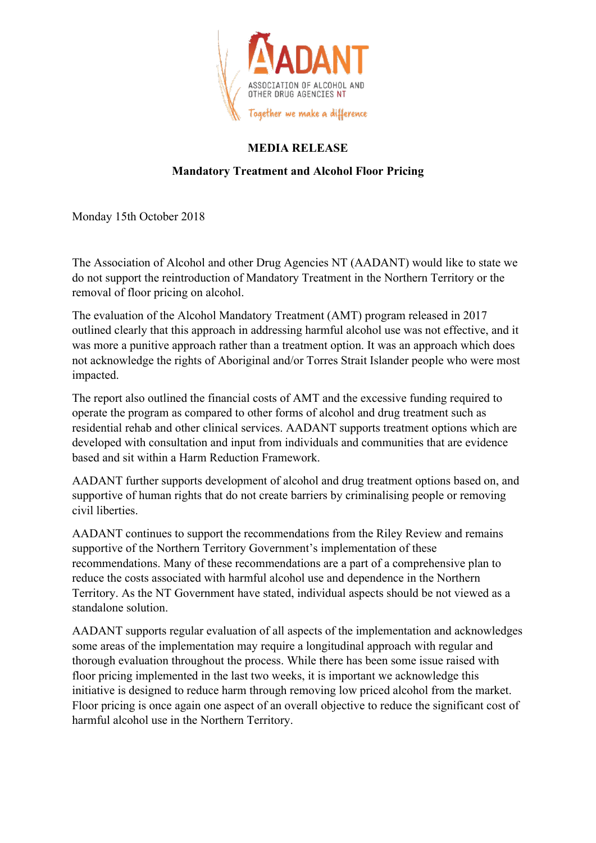

## **MEDIA RELEASE**

## **Mandatory Treatment and Alcohol Floor Pricing**

Monday 15th October 2018

The Association of Alcohol and other Drug Agencies NT (AADANT) would like to state we do not support the reintroduction of Mandatory Treatment in the Northern Territory or the removal of floor pricing on alcohol.

The evaluation of the Alcohol Mandatory Treatment (AMT) program released in 2017 outlined clearly that this approach in addressing harmful alcohol use was not effective, and it was more a punitive approach rather than a treatment option. It was an approach which does not acknowledge the rights of Aboriginal and/or Torres Strait Islander people who were most impacted.

The report also outlined the financial costs of AMT and the excessive funding required to operate the program as compared to other forms of alcohol and drug treatment such as residential rehab and other clinical services. AADANT supports treatment options which are developed with consultation and input from individuals and communities that are evidence based and sit within a Harm Reduction Framework.

AADANT further supports development of alcohol and drug treatment options based on, and supportive of human rights that do not create barriers by criminalising people or removing civil liberties.

AADANT continues to support the recommendations from the Riley Review and remains supportive of the Northern Territory Government's implementation of these recommendations. Many of these recommendations are a part of a comprehensive plan to reduce the costs associated with harmful alcohol use and dependence in the Northern Territory. As the NT Government have stated, individual aspects should be not viewed as a standalone solution.

AADANT supports regular evaluation of all aspects of the implementation and acknowledges some areas of the implementation may require a longitudinal approach with regular and thorough evaluation throughout the process. While there has been some issue raised with floor pricing implemented in the last two weeks, it is important we acknowledge this initiative is designed to reduce harm through removing low priced alcohol from the market. Floor pricing is once again one aspect of an overall objective to reduce the significant cost of harmful alcohol use in the Northern Territory.